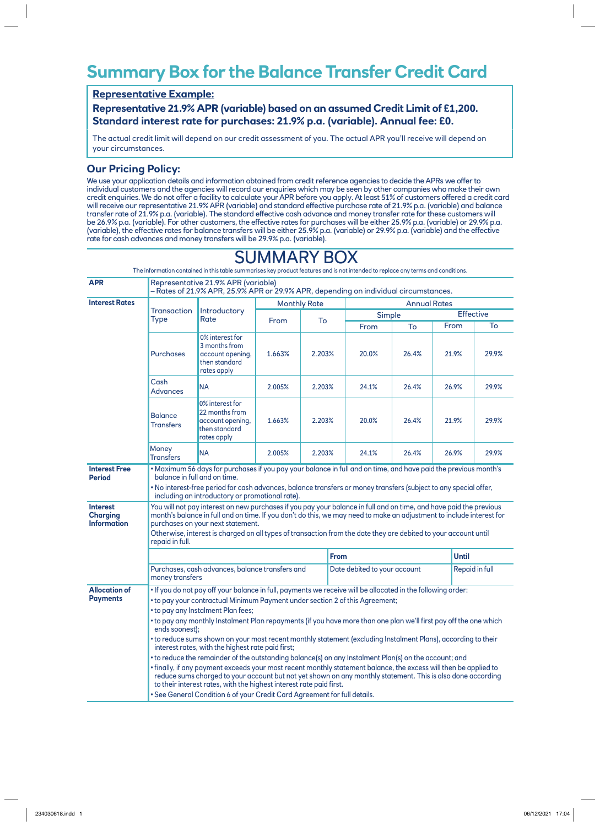## **Summary Box for the Balance Transfer Credit Card**

## **Representative Example:**

**Representative 21.9% APR (variable) based on an assumed Credit Limit of £1,200. Standard interest rate for purchases: 21.9% p.a. (variable). Annual fee: £0.**

The actual credit limit will depend on our credit assessment of you. The actual APR you'll receive will depend on your circumstances.

## **Our Pricing Policy:**

We use your application details and information obtained from credit reference agencies to decide the APRs we offer to individual customers and the agencies will record our enquiries which may be seen by other companies who make their own credit enquiries. We do not offer a facility to calculate your APR before you apply. At least 51% of customers offered a credit card will receive our representative 21.9% APR (variable) and standard effective purchase rate of 21.9% p.a. (variable) and balance transfer rate of 21.9% p.a. (variable). The standard effective cash advance and money transfer rate for these customers will be 26.9% p.a. (variable). For other customers, the effective rates for purchases will be either 25.9% p.a. (variable) or 29.9% p.a. (variable), the effective rates for balance transfers will be either 25.9% p.a. (variable) or 29.9% p.a. (variable) and the effective rate for cash advances and money transfers will be 29.9% p.a. (variable).

SUMMARY BOX

| <b>APR</b>                                                                  | Representative 21.9% APR (variable)<br>– Rates of 21.9% APR, 25.9% APR or 29.9% APR, depending on individual circumstances.                                                                                                                                                                                                                                                                                                                                                                                                                                          |                                                                                       |        |                                            |             |                              |       |              |                  |  |
|-----------------------------------------------------------------------------|----------------------------------------------------------------------------------------------------------------------------------------------------------------------------------------------------------------------------------------------------------------------------------------------------------------------------------------------------------------------------------------------------------------------------------------------------------------------------------------------------------------------------------------------------------------------|---------------------------------------------------------------------------------------|--------|--------------------------------------------|-------------|------------------------------|-------|--------------|------------------|--|
| <b>Interest Rates</b>                                                       |                                                                                                                                                                                                                                                                                                                                                                                                                                                                                                                                                                      |                                                                                       |        | <b>Monthly Rate</b><br><b>Annual Rates</b> |             |                              |       |              |                  |  |
|                                                                             | <b>Transaction</b><br>Type                                                                                                                                                                                                                                                                                                                                                                                                                                                                                                                                           | <b>Introductory</b><br>Rate                                                           | From   | To                                         |             | Simple                       |       |              | <b>Effective</b> |  |
|                                                                             |                                                                                                                                                                                                                                                                                                                                                                                                                                                                                                                                                                      |                                                                                       |        |                                            |             | From                         | To    | From         | To               |  |
|                                                                             | <b>Purchases</b>                                                                                                                                                                                                                                                                                                                                                                                                                                                                                                                                                     | 0% interest for<br>3 months from<br>account opening,<br>then standard<br>rates apply  | 1.663% | 2.203%                                     |             | 20.0%                        | 26.4% | 21.9%        | 29.9%            |  |
|                                                                             | Cash<br><b>Advances</b>                                                                                                                                                                                                                                                                                                                                                                                                                                                                                                                                              | <b>NA</b>                                                                             | 2.005% | 2.203%                                     |             | 24.1%                        | 26.4% | 26.9%        | 29.9%            |  |
|                                                                             | <b>Balance</b><br><b>Transfers</b>                                                                                                                                                                                                                                                                                                                                                                                                                                                                                                                                   | 0% interest for<br>22 months from<br>account opening,<br>then standard<br>rates apply | 1.663% | 2.203%                                     |             | 20.0%                        | 26.4% | 21.9%        | 29.9%            |  |
|                                                                             | Money<br><b>Transfers</b>                                                                                                                                                                                                                                                                                                                                                                                                                                                                                                                                            | <b>NA</b>                                                                             | 2.005% | 2.203%                                     |             | 24.1%                        | 26.4% | 26.9%        | 29.9%            |  |
| <b>Interest Free</b><br><b>Period</b><br><b>Interest</b><br><b>Charging</b> | . Maximum 56 days for purchases if you pay your balance in full and on time, and have paid the previous month's<br>balance in full and on time.<br>. No interest-free period for cash advances, balance transfers or money transfers (subject to any special offer,<br>including an introductory or promotional rate).<br>You will not pay interest on new purchases if you pay your balance in full and on time, and have paid the previous<br>month's balance in full and on time. If you don't do this, we may need to make an adjustment to include interest for |                                                                                       |        |                                            |             |                              |       |              |                  |  |
| <b>Information</b>                                                          | purchases on your next statement.<br>Otherwise, interest is charged on all types of transaction from the date they are debited to your account until<br>repaid in full.                                                                                                                                                                                                                                                                                                                                                                                              |                                                                                       |        |                                            |             |                              |       |              |                  |  |
|                                                                             |                                                                                                                                                                                                                                                                                                                                                                                                                                                                                                                                                                      |                                                                                       |        |                                            | <b>From</b> |                              |       | <b>Until</b> |                  |  |
|                                                                             | Purchases, cash advances, balance transfers and<br>money transfers                                                                                                                                                                                                                                                                                                                                                                                                                                                                                                   |                                                                                       |        |                                            |             | Date debited to your account |       |              | Repaid in full   |  |
| <b>Allocation of</b><br><b>Payments</b>                                     | . If you do not pay off your balance in full, payments we receive will be allocated in the following order:<br>• to pay your contractual Minimum Payment under section 2 of this Agreement;<br>• to pay any Instalment Plan fees;<br>• to pay any monthly Instalment Plan repayments (if you have more than one plan we'll first pay off the one which<br>ends soonest);                                                                                                                                                                                             |                                                                                       |        |                                            |             |                              |       |              |                  |  |
|                                                                             | • to reduce sums shown on your most recent monthly statement (excluding Instalment Plans), according to their<br>interest rates, with the highest rate paid first;                                                                                                                                                                                                                                                                                                                                                                                                   |                                                                                       |        |                                            |             |                              |       |              |                  |  |
|                                                                             | • to reduce the remainder of the outstanding balance(s) on any Instalment Plan(s) on the account; and                                                                                                                                                                                                                                                                                                                                                                                                                                                                |                                                                                       |        |                                            |             |                              |       |              |                  |  |
|                                                                             | • finally, if any payment exceeds your most recent monthly statement balance, the excess will then be applied to<br>reduce sums charged to your account but not yet shown on any monthly statement. This is also done according<br>to their interest rates, with the highest interest rate paid first.                                                                                                                                                                                                                                                               |                                                                                       |        |                                            |             |                              |       |              |                  |  |
|                                                                             | . See General Condition 6 of your Credit Card Agreement for full details.                                                                                                                                                                                                                                                                                                                                                                                                                                                                                            |                                                                                       |        |                                            |             |                              |       |              |                  |  |